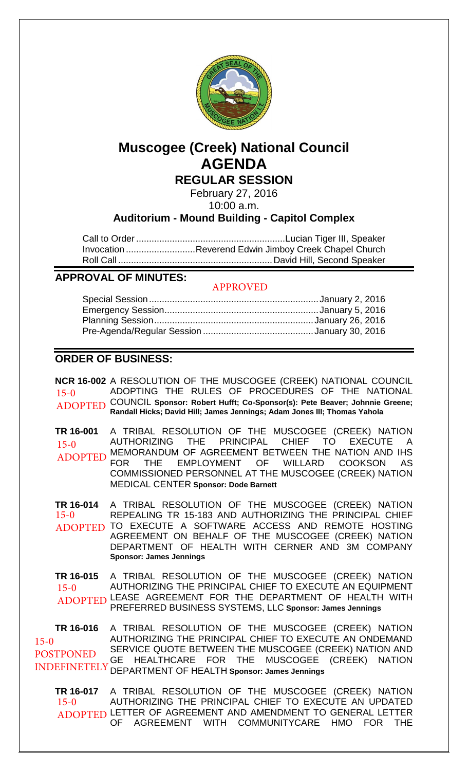

# **Muscogee (Creek) National Council AGENDA**

**REGULAR SESSION**

February 27, 2016

10:00 a.m.

## **Auditorium - Mound Building - Capitol Complex**

Call to Order .......................................................... Lucian Tiger III, Speaker Invocation ........................... Reverend Edwin Jimboy Creek Chapel Church Roll Call ............................................................ David Hill, Second Speaker

## **APPROVAL OF MINUTES:**

#### APPROVED

## **ORDER OF BUSINESS:**

**NCR 16-002** A RESOLUTION OF THE MUSCOGEE (CREEK) NATIONAL COUNCIL ADOPTING THE RULES OF PROCEDURES OF THE NATIONAL COUNCIL **Sponsor: Robert Hufft; Co-Sponsor(s): Pete Beaver; Johnnie Greene; Randall Hicks; David Hill; James Jennings; Adam Jones III; Thomas Yahola TR 16-001** A TRIBAL RESOLUTION OF THE MUSCOGEE (CREEK) NATION AUTHORIZING THE PRINCIPAL CHIEF TO EXECUTE A MEMORANDUM OF AGREEMENT BETWEEN THE NATION AND IHS FOR THE EMPLOYMENT OF WILLARD COOKSON AS COMMISSIONED PERSONNEL AT THE MUSCOGEE (CREEK) NATION MEDICAL CENTER **Sponsor: Dode Barnett TR 16-014** A TRIBAL RESOLUTION OF THE MUSCOGEE (CREEK) NATION REPEALING TR 15-183 AND AUTHORIZING THE PRINCIPAL CHIEF 15-0 ADOPTED 15-0 ADOPTED  $15-0$ 

ADOPTED TO EXECUTE A SOFTWARE ACCESS AND REMOTE HOSTING AGREEMENT ON BEHALF OF THE MUSCOGEE (CREEK) NATION DEPARTMENT OF HEALTH WITH CERNER AND 3M COMPANY **Sponsor: James Jennings**

**TR 16-015** A TRIBAL RESOLUTION OF THE MUSCOGEE (CREEK) NATION AUTHORIZING THE PRINCIPAL CHIEF TO EXECUTE AN EQUIPMENT ADOPTED LEASE AGREEMENT FOR THE DEPARTMENT OF HEALTH WITH PREFERRED BUSINESS SYSTEMS, LLC **Sponsor: James Jennings** 15-0

**TR 16-016** A TRIBAL RESOLUTION OF THE MUSCOGEE (CREEK) NATION AUTHORIZING THE PRINCIPAL CHIEF TO EXECUTE AN ONDEMAND SERVICE QUOTE BETWEEN THE MUSCOGEE (CREEK) NATION AND GE HEALTHCARE FOR THE MUSCOGEE (CREEK) NATION DEPARTMENT OF HEALTH **Sponsor: James Jennings** INDEFINETELY 15-0 POSTPONED

**TR 16-017** A TRIBAL RESOLUTION OF THE MUSCOGEE (CREEK) NATION AUTHORIZING THE PRINCIPAL CHIEF TO EXECUTE AN UPDATED ADOPTED LETTER OF AGREEMENT AND AMENDMENT TO GENERAL LETTER OF AGREEMENT WITH COMMUNITYCARE HMO FOR THE 15-0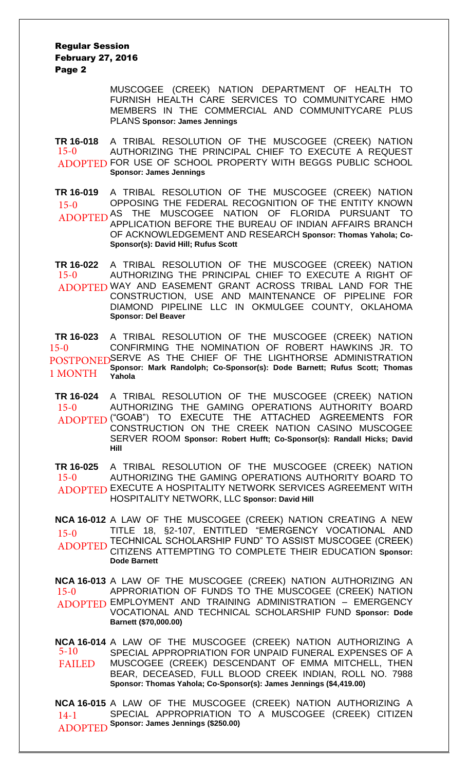Regular Session February 27, 2016 Page 2

> MUSCOGEE (CREEK) NATION DEPARTMENT OF HEALTH TO FURNISH HEALTH CARE SERVICES TO COMMUNITYCARE HMO MEMBERS IN THE COMMERCIAL AND COMMUNITYCARE PLUS PLANS **Sponsor: James Jennings**

**TR 16-018** A TRIBAL RESOLUTION OF THE MUSCOGEE (CREEK) NATION AUTHORIZING THE PRINCIPAL CHIEF TO EXECUTE A REQUEST ADOPTED FOR USE OF SCHOOL PROPERTY WITH BEGGS PUBLIC SCHOOL **Sponsor: James Jennings** 15-0

**TR 16-019** A TRIBAL RESOLUTION OF THE MUSCOGEE (CREEK) NATION OPPOSING THE FEDERAL RECOGNITION OF THE ENTITY KNOWN ADOPTED AS THE MUSCOGEE NATION OF FLORIDA PURSUANT TO APPLICATION BEFORE THE BUREAU OF INDIAN AFFAIRS BRANCH OF ACKNOWLEDGEMENT AND RESEARCH **Sponsor: Thomas Yahola; Co-Sponsor(s): David Hill; Rufus Scott** 15-0

**TR 16-022** A TRIBAL RESOLUTION OF THE MUSCOGEE (CREEK) NATION AUTHORIZING THE PRINCIPAL CHIEF TO EXECUTE A RIGHT OF ADOPTED WAY AND EASEMENT GRANT ACROSS TRIBAL LAND FOR THE CONSTRUCTION, USE AND MAINTENANCE OF PIPELINE FOR DIAMOND PIPELINE LLC IN OKMULGEE COUNTY, OKLAHOMA **Sponsor: Del Beaver** 15-0

**TR 16-023** A TRIBAL RESOLUTION OF THE MUSCOGEE (CREEK) NATION CONFIRMING THE NOMINATION OF ROBERT HAWKINS JR. TO POSTPONED SERVE AS THE CHIEF OF THE LIGHTHORSE ADMINISTRATION **Sponsor: Mark Randolph; Co-Sponsor(s): Dode Barnett; Rufus Scott; Thomas Yahola** 15-0 1 MONTH

**TR 16-024** A TRIBAL RESOLUTION OF THE MUSCOGEE (CREEK) NATION AUTHORIZING THE GAMING OPERATIONS AUTHORITY BOARD ADOPTED ("GOAB") TO EXECUTE THE ATTACHED AGREEMENTS FOR CONSTRUCTION ON THE CREEK NATION CASINO MUSCOGEE SERVER ROOM **Sponsor: Robert Hufft; Co-Sponsor(s): Randall Hicks; David Hill** 15-0

**TR 16-025** A TRIBAL RESOLUTION OF THE MUSCOGEE (CREEK) NATION AUTHORIZING THE GAMING OPERATIONS AUTHORITY BOARD TO ADOPTED EXECUTE A HOSPITALITY NETWORK SERVICES AGREEMENT WITH HOSPITALITY NETWORK, LLC **Sponsor: David Hill** 15-0

**NCA 16-012** A LAW OF THE MUSCOGEE (CREEK) NATION CREATING A NEW TITLE 18, §2-107, ENTITLED "EMERGENCY VOCATIONAL AND 15-0 ITTLE 18, SZ-107, ENTITLED EMERGENCY VOCATIONAL AND<br>ADOPTED TECHNICAL SCHOLARSHIP FUND" TO ASSIST MUSCOGEE (CREEK) CITIZENS ATTEMPTING TO COMPLETE THEIR EDUCATION **Sponsor: Dode Barnett** ADOPTED

**NCA 16-013** A LAW OF THE MUSCOGEE (CREEK) NATION AUTHORIZING AN APPRORIATION OF FUNDS TO THE MUSCOGEE (CREEK) NATION EMPLOYMENT AND TRAINING ADMINISTRATION – EMERGENCY ADOPTED VOCATIONAL AND TECHNICAL SCHOLARSHIP FUND **Sponsor: Dode Barnett (\$70,000.00)** 15-0

**NCA 16-014** A LAW OF THE MUSCOGEE (CREEK) NATION AUTHORIZING A SPECIAL APPROPRIATION FOR UNPAID FUNERAL EXPENSES OF A MUSCOGEE (CREEK) DESCENDANT OF EMMA MITCHELL, THEN BEAR, DECEASED, FULL BLOOD CREEK INDIAN, ROLL NO. 7988 **Sponsor: Thomas Yahola; Co-Sponsor(s): James Jennings (\$4,419.00)** 5-10 FAILED

**NCA 16-015** A LAW OF THE MUSCOGEE (CREEK) NATION AUTHORIZING A SPECIAL APPROPRIATION TO A MUSCOGEE (CREEK) CITIZEN **Sponsor: James Jennings (\$250.00)** 14-1 ADOPTED